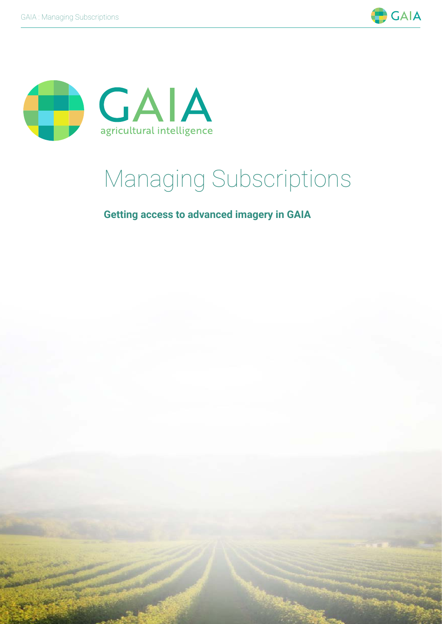



# Managing Subscriptions

**Getting access to advanced imagery in GAIA**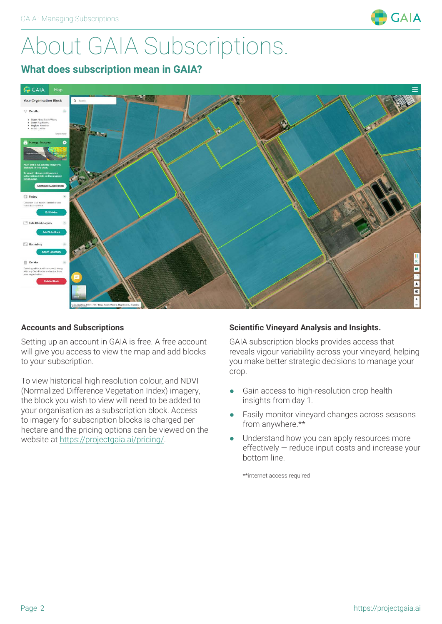

# About GAIA Subscriptions.

#### **What does subscription mean in GAIA?**



#### **Accounts and Subscriptions**

Setting up an account in GAIA is free. A free account will give you access to view the map and add blocks to your subscription.

To view historical high resolution colour, and NDVI (Normalized Difference Vegetation Index) imagery, the block you wish to view will need to be added to your organisation as a subscription block. Access to imagery for subscription blocks is charged per hectare and the pricing options can be viewed on the website at https://projectgaia.ai/pricing/.

#### **Scientific Vineyard Analysis and Insights.**

GAIA subscription blocks provides access that reveals vigour variability across your vineyard, helping you make better strategic decisions to manage your crop.

- Gain access to high-resolution crop health insights from day 1.
- Easily monitor vineyard changes across seasons from anywhere.\*\*
- Understand how you can apply resources more effectively — reduce input costs and increase your bottom line.

\*\*internet access required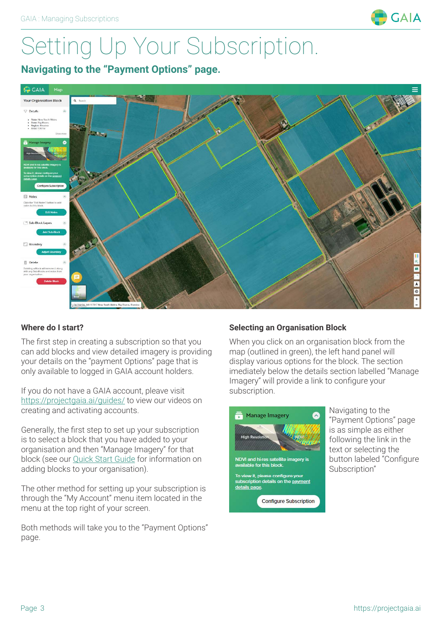

# Setting Up Your Subscription.

**Navigating to the "Payment Options" page.**



#### **Where do I start?**

The first step in creating a subscription so that you can add blocks and view detailed imagery is providing your details on the "payment Options" page that is only available to logged in GAIA account holders.

If you do not have a GAIA account, pleave visit https://projectgaia.ai/guides/ to view our videos on creating and activating accounts.

Generally, the first step to set up your subscription is to select a block that you have added to your organisation and then "Manage Imagery" for that block (see our Quick Start Guide for information on adding blocks to your organisation).

The other method for setting up your subscription is through the "My Account" menu item located in the menu at the top right of your screen.

Both methods will take you to the "Payment Options" page.

#### **Selecting an Organisation Block**

When you click on an organisation block from the map (outlined in green), the left hand panel will display various options for the block. The section imediately below the details section labelled "Manage Imagery" will provide a link to configure your subscription.



Navigating to the "Payment Options" page is as simple as either following the link in the text or selecting the button labeled "Configure Subscription"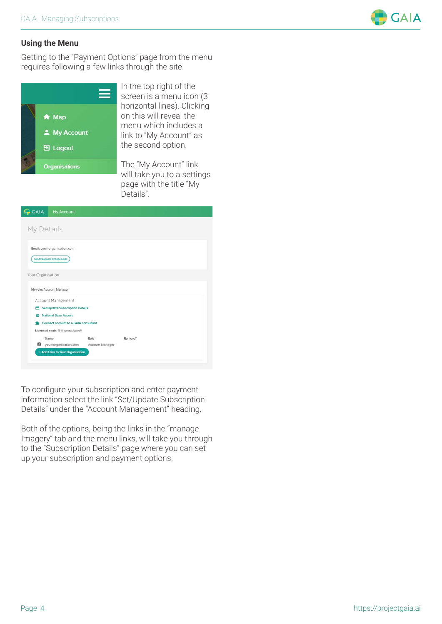

#### **Using the Menu**

Getting to the "Payment Options" page from the menu requires following a few links through the site.



In the top right of the screen is a menu icon (3 horizontal lines). Clicking on this will reveal the menu which includes a link to "My Account" as the second option.

The "My Account" link will take you to a settings page with the title "My Details".

| My Details<br>Email: you@organisation.com<br>Send Password Change Email<br>Your Organisation<br>My role: Account Manager<br>Account Management<br><b>Set/Update Subscription Details</b><br>8<br><b>National Scan Access</b><br>н<br>Connect account to a GAIA consultant<br>Licensed seats: 5 (4 unassigned)<br>Name<br>Role<br>Remove?<br>B<br>you@organisation.com<br>Account Manager | <b>GAIA</b> | <b>My Account</b> |  |  |
|------------------------------------------------------------------------------------------------------------------------------------------------------------------------------------------------------------------------------------------------------------------------------------------------------------------------------------------------------------------------------------------|-------------|-------------------|--|--|
|                                                                                                                                                                                                                                                                                                                                                                                          |             |                   |  |  |
|                                                                                                                                                                                                                                                                                                                                                                                          |             |                   |  |  |
|                                                                                                                                                                                                                                                                                                                                                                                          |             |                   |  |  |
|                                                                                                                                                                                                                                                                                                                                                                                          |             |                   |  |  |
|                                                                                                                                                                                                                                                                                                                                                                                          |             |                   |  |  |
|                                                                                                                                                                                                                                                                                                                                                                                          |             |                   |  |  |
|                                                                                                                                                                                                                                                                                                                                                                                          |             |                   |  |  |
|                                                                                                                                                                                                                                                                                                                                                                                          |             |                   |  |  |
|                                                                                                                                                                                                                                                                                                                                                                                          |             |                   |  |  |
|                                                                                                                                                                                                                                                                                                                                                                                          |             |                   |  |  |
|                                                                                                                                                                                                                                                                                                                                                                                          |             |                   |  |  |
|                                                                                                                                                                                                                                                                                                                                                                                          |             |                   |  |  |
|                                                                                                                                                                                                                                                                                                                                                                                          |             |                   |  |  |
|                                                                                                                                                                                                                                                                                                                                                                                          |             |                   |  |  |

To configure your subscription and enter payment information select the link "Set/Update Subscription Details" under the "Account Management" heading.

Both of the options, being the links in the "manage Imagery" tab and the menu links, will take you through to the "Subscription Details" page where you can set up your subscription and payment options.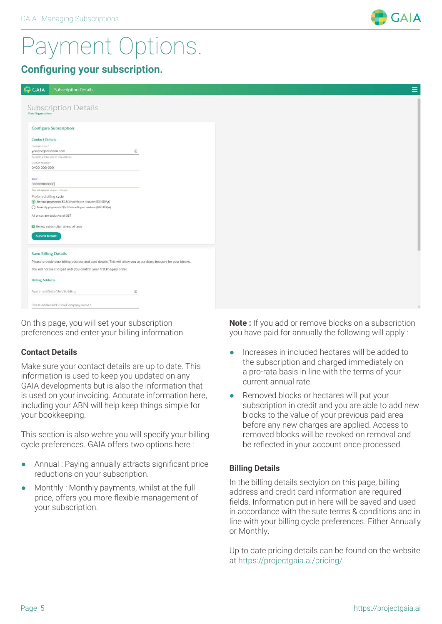### Payment Options.

#### **Configuring your subscription.**

| <b>GAIA</b><br><b>Subscription Details</b>                                                                                                                                                                           | $\equiv$ |
|----------------------------------------------------------------------------------------------------------------------------------------------------------------------------------------------------------------------|----------|
| Subscription Details                                                                                                                                                                                                 |          |
| <b>Configure Subscription</b>                                                                                                                                                                                        |          |
| <b>Contact Details</b><br>Email Address *<br>固<br>you@organisation.com                                                                                                                                               |          |
| Roceipts will bo sent to this address:<br>Contact Number*<br>0400 000 000                                                                                                                                            |          |
| ABN *<br>00000000000                                                                                                                                                                                                 |          |
| This will appear on your receipts<br>Preferred billing cycle<br>Annual payments: \$2.50/month per hectare (\$30.00/yr)<br>Monthly payments: \$5.00/month per hectare (\$60.00/yr)<br>All prices are exclusive of GST |          |
| Renew subscription at end of term<br><b>Submit Details</b>                                                                                                                                                           |          |
| <b>Save Billing Details</b>                                                                                                                                                                                          |          |
| Please provide your billing address and card details. This will allow you to purchase imagery for your blocks.<br>You will not be charged until you confirm your first imagery order.                                |          |
| <b>Billing Address</b>                                                                                                                                                                                               |          |
| Apartment/Suite/Unit/Building                                                                                                                                                                                        |          |
| Street address/PO Box/Company name *                                                                                                                                                                                 |          |

On this page, you will set your subscription preferences and enter your billing information.

#### **Contact Details**

Make sure your contact details are up to date. This information is used to keep you updated on any GAIA developments but is also the information that is used on your invoicing. Accurate information here, including your ABN will help keep things simple for your bookkeeping.

This section is also wehre you will specify your billing cycle preferences. GAIA offers two options here :

- Annual : Paying annually attracts significant price reductions on your subscription.
- Monthly : Monthly payments, whilst at the full price, offers you more flexible management of your subscription.

**Note :** If you add or remove blocks on a subscription you have paid for annually the following will apply :

- Increases in included hectares will be added to the subscription and charged immediately on a pro-rata basis in line with the terms of your current annual rate.
- Removed blocks or hectares will put your subscription in credit and you are able to add new blocks to the value of your previous paid area before any new charges are applied. Access to removed blocks will be revoked on removal and be reflected in your account once processed.

#### **Billing Details**

In the billing details sectyion on this page, billing address and credit card information are required fields. Information put in here will be saved and used in accordance with the sute terms & conditions and in line with your billing cycle preferences. Either Annually or Monthly.

Up to date pricing details can be found on the website at https://projectgaia.ai/pricing/

**GAIA**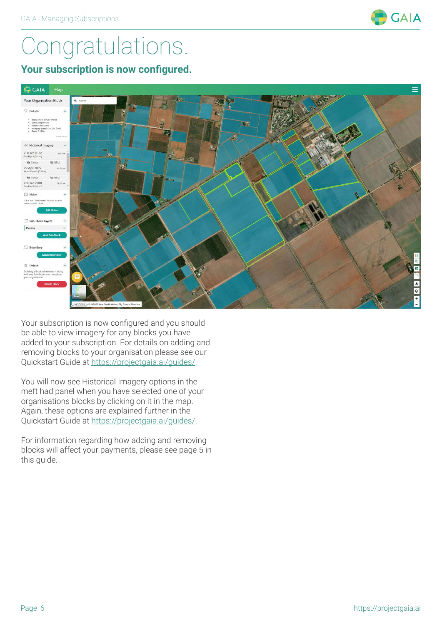

# Congratulations.

**Your subscription is now configured.**



Your subscription is now configured and you should be able to view imagery for any blocks you have added to your subscription. For details on adding and removing blocks to your organisation please see our Quickstart Guide at https://projectgaia.ai/guides/.

You will now see Historical Imagery options in the meft had panel when you have selected one of your organisations blocks by clicking on it in the map. Again, these options are explained further in the Quickstart Guide at https://projectgaia.ai/guides/.

For information regarding how adding and removing blocks will affect your payments, please see page 5 in this guide.